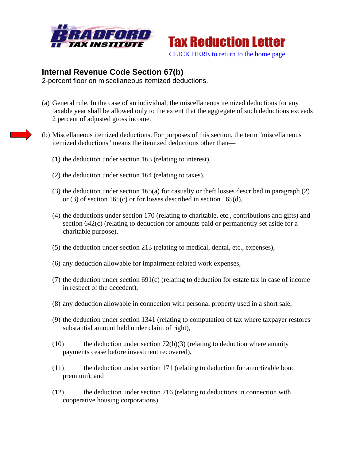



## **Internal Revenue Code Section 67(b)**

2-percent floor on miscellaneous itemized deductions.

- (a) General rule. In the case of an individual, the miscellaneous itemized deductions for any taxable year shall be allowed only to the extent that the aggregate of such deductions exceeds 2 percent of adjusted gross income.
- (b) Miscellaneous itemized deductions. For purposes of this section, the term "miscellaneous itemized deductions" means the itemized deductions other than—
	- (1) the deduction under section 163 (relating to interest),
	- (2) the deduction under section 164 (relating to taxes),
	- (3) the deduction under section 165(a) for casualty or theft losses described in paragraph (2) or (3) of section 165(c) or for losses described in section 165(d),
	- (4) the deductions under section 170 (relating to charitable, etc., contributions and gifts) and section 642(c) (relating to deduction for amounts paid or permanently set aside for a charitable purpose),
	- (5) the deduction under section 213 (relating to medical, dental, etc., expenses),
	- (6) any deduction allowable for impairment-related work expenses,
	- (7) the deduction under section 691(c) (relating to deduction for estate tax in case of income in respect of the decedent),
	- (8) any deduction allowable in connection with personal property used in a short sale,
	- (9) the deduction under section 1341 (relating to computation of tax where taxpayer restores substantial amount held under claim of right),
	- $(10)$  the deduction under section 72(b)(3) (relating to deduction where annuity payments cease before investment recovered),
	- (11) the deduction under section 171 (relating to deduction for amortizable bond premium), and
	- (12) the deduction under section 216 (relating to deductions in connection with cooperative housing corporations).